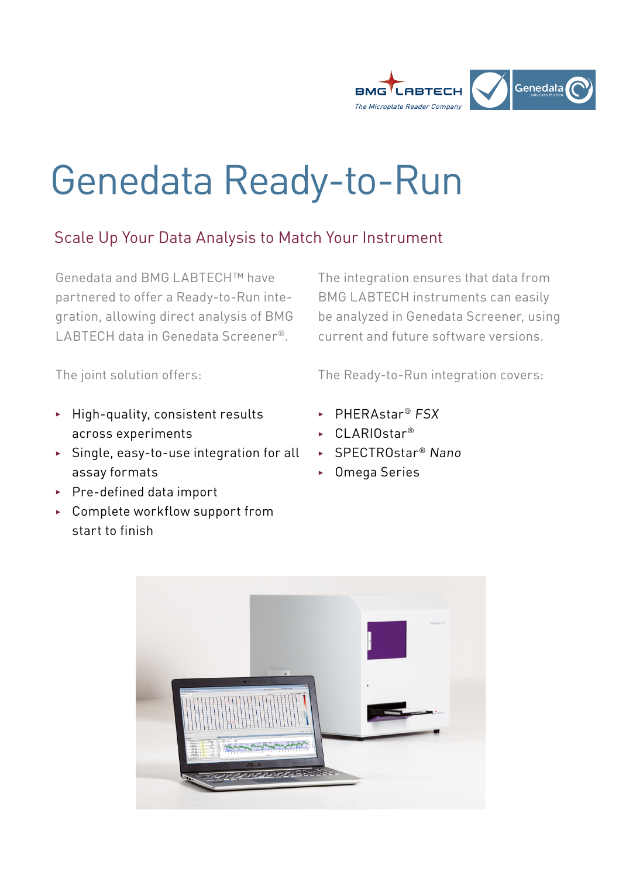

# Genedata Ready-to-Run

## Scale Up Your Data Analysis to Match Your Instrument

Genedata and BMG LABTECH™ have partnered to offer a Ready-to-Run integration, allowing direct analysis of BMG LABTECH data in Genedata Screener®.

The integration ensures that data from BMG LABTECH instruments can easily be analyzed in Genedata Screener, using current and future software versions.

The joint solution offers:

- $\blacktriangleright$  High-quality, consistent results across experiments
- **>** Single, easy-to-use integration for all assay formats
- $\blacktriangleright$  Pre-defined data import
- ▶ Complete workflow support from start to finish

The Ready-to-Run integration covers:

- ► PHERAstar® FSX
- ► CLARIOstar<sup>®</sup>
- ► SPECTROstar<sup>®</sup> Nano
- ▶ Omega Series